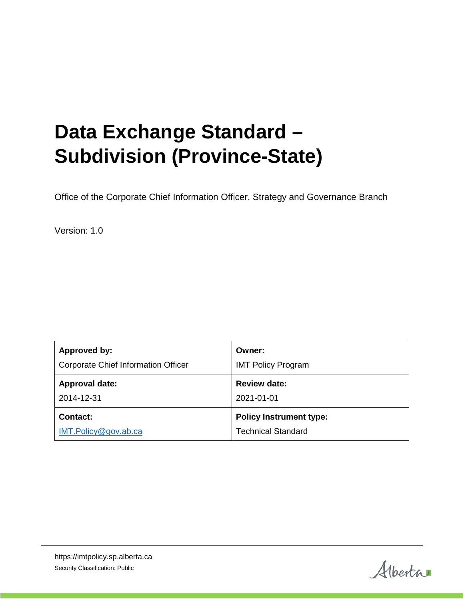# **Data Exchange Standard – Subdivision (Province-State)**

Office of the Corporate Chief Information Officer, Strategy and Governance Branch

Version: 1.0

| Approved by:                               | Owner:                         |
|--------------------------------------------|--------------------------------|
| <b>Corporate Chief Information Officer</b> | <b>IMT Policy Program</b>      |
| <b>Approval date:</b>                      | <b>Review date:</b>            |
| 2014-12-31                                 | 2021-01-01                     |
| <b>Contact:</b>                            | <b>Policy Instrument type:</b> |
| IMT.Policy@gov.ab.ca                       | <b>Technical Standard</b>      |

Alberta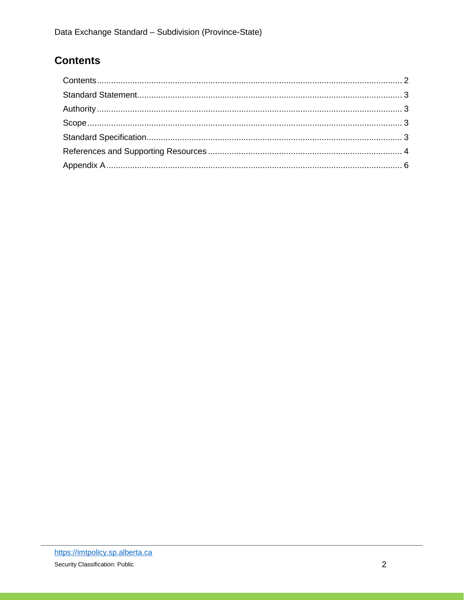## <span id="page-1-0"></span>**Contents**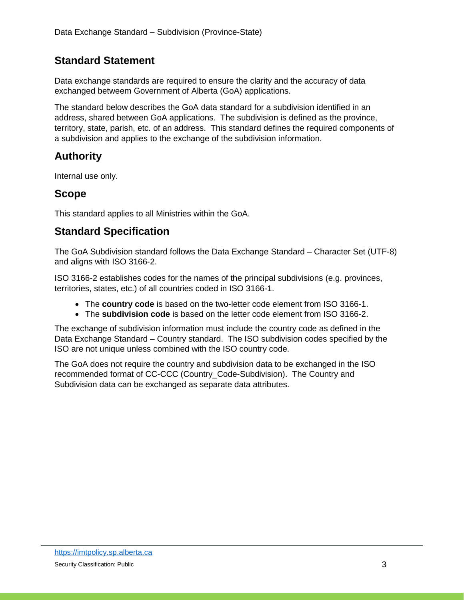#### <span id="page-2-0"></span>**Standard Statement**

Data exchange standards are required to ensure the clarity and the accuracy of data exchanged betweem Government of Alberta (GoA) applications.

The standard below describes the GoA data standard for a subdivision identified in an address, shared between GoA applications. The subdivision is defined as the province, territory, state, parish, etc. of an address. This standard defines the required components of a subdivision and applies to the exchange of the subdivision information.

## <span id="page-2-1"></span>**Authority**

Internal use only.

#### <span id="page-2-2"></span>**Scope**

This standard applies to all Ministries within the GoA.

### <span id="page-2-3"></span>**Standard Specification**

The GoA Subdivision standard follows the Data Exchange Standard – Character Set (UTF-8) and aligns with ISO 3166-2.

ISO 3166-2 establishes codes for the names of the principal subdivisions (e.g. provinces, territories, states, etc.) of all countries coded in ISO 3166-1.

- The **country code** is based on the two-letter code element from ISO 3166-1.
- The **subdivision code** is based on the letter code element from ISO 3166-2.

The exchange of subdivision information must include the country code as defined in the Data Exchange Standard – Country standard. The ISO subdivision codes specified by the ISO are not unique unless combined with the ISO country code.

The GoA does not require the country and subdivision data to be exchanged in the ISO recommended format of CC-CCC (Country\_Code-Subdivision). The Country and Subdivision data can be exchanged as separate data attributes.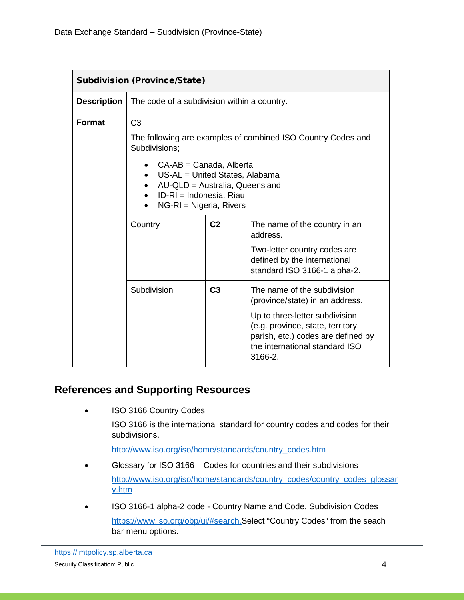| <b>Subdivision (Province/State)</b> |                                                                                                                                                                                                                                                                                  |                |                                                                                                                                                                                                                          |  |
|-------------------------------------|----------------------------------------------------------------------------------------------------------------------------------------------------------------------------------------------------------------------------------------------------------------------------------|----------------|--------------------------------------------------------------------------------------------------------------------------------------------------------------------------------------------------------------------------|--|
| <b>Description</b>                  | The code of a subdivision within a country.                                                                                                                                                                                                                                      |                |                                                                                                                                                                                                                          |  |
| <b>Format</b>                       | C <sub>3</sub><br>The following are examples of combined ISO Country Codes and<br>Subdivisions:<br>CA-AB = Canada, Alberta<br>US-AL = United States, Alabama<br>AU-QLD = Australia, Queensland<br>$\bullet$<br>ID-RI = Indonesia, Riau<br>$NG-RI = Nigeria, Rivers$<br>$\bullet$ |                |                                                                                                                                                                                                                          |  |
|                                     | Country                                                                                                                                                                                                                                                                          | C <sub>2</sub> | The name of the country in an<br>address.<br>Two-letter country codes are<br>defined by the international<br>standard ISO 3166-1 alpha-2.                                                                                |  |
|                                     | Subdivision                                                                                                                                                                                                                                                                      | C <sub>3</sub> | The name of the subdivision<br>(province/state) in an address.<br>Up to three-letter subdivision<br>(e.g. province, state, territory,<br>parish, etc.) codes are defined by<br>the international standard ISO<br>3166-2. |  |

#### <span id="page-3-0"></span>**References and Supporting Resources**

ISO 3166 Country Codes

ISO 3166 is the international standard for country codes and codes for their subdivisions.

[http://www.iso.org/iso/home/standards/country\\_codes.htm](http://www.iso.org/iso/home/standards/country_codes.htm)

- Glossary for ISO 3166 Codes for countries and their subdivisions [http://www.iso.org/iso/home/standards/country\\_codes/country\\_codes\\_glossar](http://www.iso.org/iso/home/standards/country_codes/country_codes_glossary.htm) [y.htm](http://www.iso.org/iso/home/standards/country_codes/country_codes_glossary.htm)
- ISO 3166-1 alpha-2 code Country Name and Code, Subdivision Codes [https://www.iso.org/obp/ui/#search.](https://www.iso.org/obp/ui/#search)Select "Country Codes" from the seach bar menu options.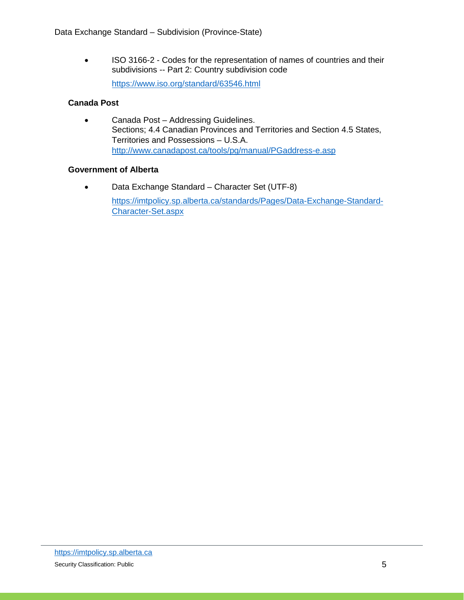• ISO 3166-2 - Codes for the representation of names of countries and their subdivisions -- Part 2: Country subdivision code <https://www.iso.org/standard/63546.html>

#### **Canada Post**

• Canada Post – Addressing Guidelines. Sections; 4.4 Canadian Provinces and Territories and Section 4.5 States, Territories and Possessions – U.S.A. <http://www.canadapost.ca/tools/pg/manual/PGaddress-e.asp>

#### **Government of Alberta**

• Data Exchange Standard – Character Set (UTF-8) [https://imtpolicy.sp.alberta.ca/standards/Pages/Data-Exchange-Standard-](https://imtpolicy.sp.alberta.ca/standards/Pages/Data-Exchange-Standard-Character-Set.aspx)[Character-Set.aspx](https://imtpolicy.sp.alberta.ca/standards/Pages/Data-Exchange-Standard-Character-Set.aspx)